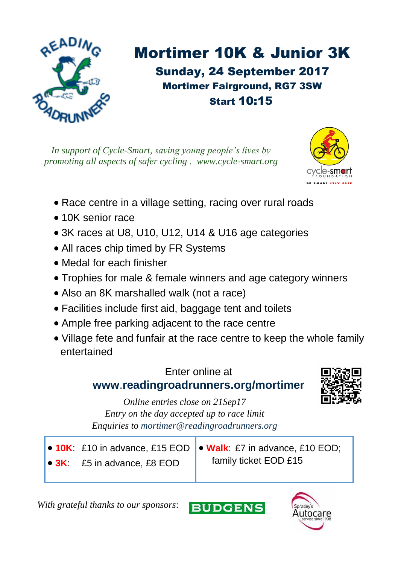

## Mortimer 10K & Junior 3K Sunday, 24 September 2017 Mortimer Fairground, RG7 3SW Start 10:15

*In support of Cycle-Smart, saving young people's lives by promoting all aspects of safer cycling . www.cycle-smart.org*



- Race centre in a village setting, racing over rural roads
- 10K senior race
- 3K races at U8, U10, U12, U14 & U16 age categories
- All races chip timed by FR Systems
- Medal for each finisher
- Trophies for male & female winners and age category winners
- Also an 8K marshalled walk (not a race)
- Facilities include first aid, baggage tent and toilets
- Ample free parking adjacent to the race centre
- Village fete and funfair at the race centre to keep the whole family entertained

## Enter online at **www**.**readingroadrunners.org/mortimer**



*Online entries close on 21Sep17 Entry on the day accepted up to race limit Enquiries to mortimer@readingroadrunners.org*

- **10K**: £10 in advance, £15 EOD
- **3K**: £5 in advance, £8 EOD

• **Walk**: £7 in advance, £10 EOD; family ticket EOD £15

*With grateful thanks to our sponsors*: